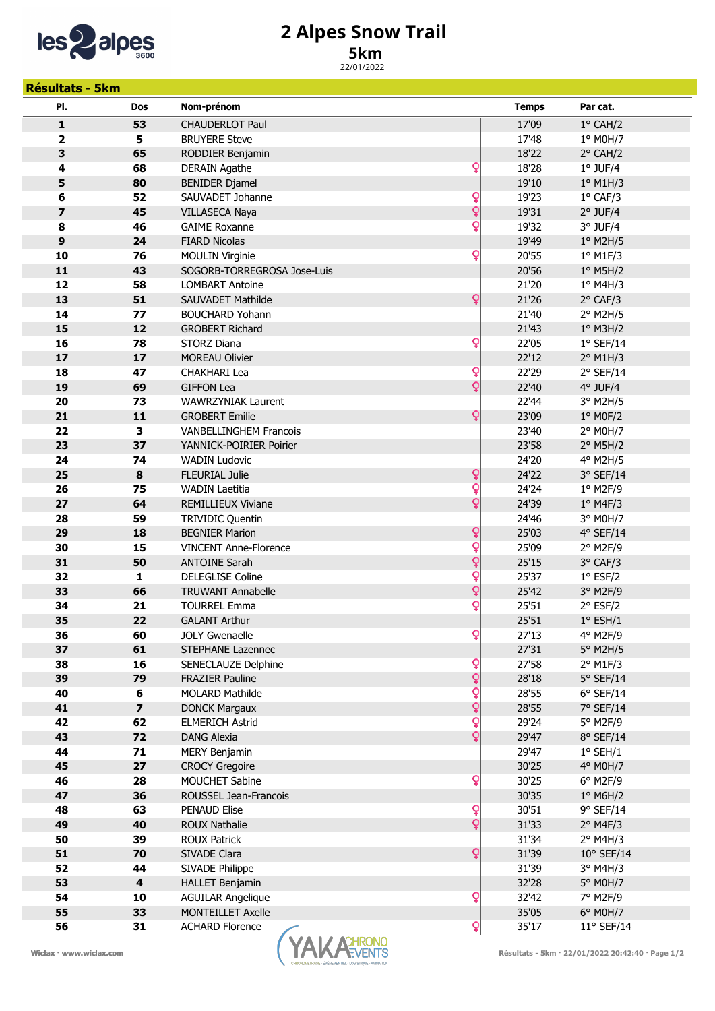

## 2 Alpes Snow Trail

## 5km

22/01/2022

| <b>Résultats - 5km</b>                                                                        |                         |                                          |                |                      |  |
|-----------------------------------------------------------------------------------------------|-------------------------|------------------------------------------|----------------|----------------------|--|
| PI.                                                                                           | Dos                     | Nom-prénom                               | <b>Temps</b>   | Par cat.             |  |
| 1                                                                                             | 53                      | <b>CHAUDERLOT Paul</b>                   | 17'09          | 1° CAH/2             |  |
| 2                                                                                             | 5                       | <b>BRUYERE Steve</b>                     | 17'48          | 1° M0H/7             |  |
| 3                                                                                             | 65                      | RODDIER Benjamin                         | 18'22          | 2° CAH/2             |  |
| 4                                                                                             | 68                      | Q<br><b>DERAIN Agathe</b>                | 18'28          | $1°$ JUF/4           |  |
| 5                                                                                             | 80                      | <b>BENIDER Djamel</b>                    | 19'10          | $1°$ M1H/3           |  |
| 6                                                                                             | 52                      | ò<br>SAUVADET Johanne                    | 19'23          | 1° CAF/3             |  |
| 7                                                                                             | 45                      | Q<br><b>VILLASECA Naya</b>               | 19'31          | $2°$ JUF/4           |  |
| 8                                                                                             | 46                      | Q<br><b>GAIME Roxanne</b>                | 19'32          | $3°$ JUF/4           |  |
| 9                                                                                             | 24                      | <b>FIARD Nicolas</b>                     | 19'49          | 1° M2H/5             |  |
| 10                                                                                            | 76                      | Q<br><b>MOULIN Virginie</b>              | 20'55          | $1°$ M1F/3           |  |
| 11                                                                                            | 43                      | SOGORB-TORREGROSA Jose-Luis              | 20'56          | $1°$ M5H/2           |  |
| 12                                                                                            | 58                      | <b>LOMBART Antoine</b>                   | 21'20          | $1°$ M4H/3           |  |
| 13                                                                                            | 51                      | Q<br><b>SAUVADET Mathilde</b>            | 21'26          | 2° CAF/3             |  |
| 14                                                                                            | 77                      | <b>BOUCHARD Yohann</b>                   | 21'40          | 2° M2H/5             |  |
| 15                                                                                            | 12                      | <b>GROBERT Richard</b>                   | 21'43          | $1°$ M3H/2           |  |
| 16                                                                                            | 78                      | Q<br><b>STORZ Diana</b>                  | 22'05          | $1°$ SEF/14          |  |
| 17                                                                                            | 17                      | <b>MOREAU Olivier</b>                    | 22'12          | $2°$ M1H/3           |  |
| 18                                                                                            | 47                      | Q<br><b>CHAKHARI Lea</b>                 | 22'29          | 2° SEF/14            |  |
| 19                                                                                            | 69                      | Q<br><b>GIFFON Lea</b>                   | 22'40          | $4°$ JUF/4           |  |
| 20                                                                                            | 73                      | WAWRZYNIAK Laurent                       | 22'44          | 3° M2H/5             |  |
| 21                                                                                            | 11                      | Q<br><b>GROBERT Emilie</b>               | 23'09          | $1°$ MOF/2           |  |
| 22                                                                                            | 3                       | <b>VANBELLINGHEM Francois</b>            | 23'40          | 2° M0H/7             |  |
| 23                                                                                            | 37                      | YANNICK-POIRIER Poirier                  | 23'58          | $2°$ M5H/2           |  |
| 24                                                                                            | 74                      | <b>WADIN Ludovic</b>                     | 24'20          | 4° M2H/5             |  |
| 25                                                                                            | 8                       | Q<br><b>FLEURIAL Julie</b>               | 24'22          | 3° SEF/14            |  |
| 26                                                                                            | 75                      | Q<br><b>WADIN Laetitia</b>               | 24'24          | $1°$ M2F/9           |  |
| 27                                                                                            | 64                      | Q<br><b>REMILLIEUX Viviane</b>           | 24'39          | $1°$ M4F/3           |  |
| 28                                                                                            | 59                      | <b>TRIVIDIC Quentin</b>                  | 24'46          | 3° M0H/7             |  |
| 29                                                                                            | 18                      | ¥<br><b>BEGNIER Marion</b>               | 25'03          | 4° SEF/14            |  |
| 30                                                                                            | 15                      | Q<br><b>VINCENT Anne-Florence</b>        | 25'09          | 2° M2F/9             |  |
| 31                                                                                            | 50                      | Q<br><b>ANTOINE Sarah</b>                | 25'15          | 3° CAF/3             |  |
| 32                                                                                            | $\mathbf{1}$            | Q<br><b>DELEGLISE Coline</b>             | 25'37          | $1°$ ESF/2           |  |
| 33                                                                                            | 66                      | ¥<br><b>TRUWANT Annabelle</b>            | 25'42          | 3° M2F/9             |  |
| 34                                                                                            | 21                      | Q<br><b>TOURREL Emma</b>                 | 25'51          | $2°$ ESF/2           |  |
| 35                                                                                            | 22                      | <b>GALANT Arthur</b>                     | 25'51          | $1°$ ESH/1           |  |
| 36                                                                                            | 60                      | Q<br><b>JOLY Gwenaelle</b>               | 27'13          | 4° M2F/9<br>5° M2H/5 |  |
| 37<br>38                                                                                      | 61<br>16                | STEPHANE Lazennec<br>SENECLAUZE Delphine | 27'31<br>27'58 | $2°$ M1F/3           |  |
| 39                                                                                            | 79                      | Q<br>¥<br><b>FRAZIER Pauline</b>         | 28'18          | $5°$ SEF/14          |  |
| 40                                                                                            | 6                       | Q<br><b>MOLARD Mathilde</b>              | 28'55          | $6°$ SEF/14          |  |
| 41                                                                                            | $\overline{\mathbf{z}}$ | Q<br><b>DONCK Margaux</b>                | 28'55          | 7° SEF/14            |  |
| 42                                                                                            | 62                      | ¥<br><b>ELMERICH Astrid</b>              | 29'24          | 5° M2F/9             |  |
| 43                                                                                            | 72                      | Q<br><b>DANG Alexia</b>                  | 29'47          | 8° SEF/14            |  |
| 44                                                                                            | 71                      | <b>MERY Benjamin</b>                     | 29'47          | $1°$ SEH/1           |  |
| 45                                                                                            | 27                      | <b>CROCY Gregoire</b>                    | 30'25          | 4° M0H/7             |  |
| 46                                                                                            | 28                      | Q<br>MOUCHET Sabine                      | 30'25          | $6°$ M2F/9           |  |
| 47                                                                                            | 36                      | ROUSSEL Jean-Francois                    | 30'35          | $1°$ M6H/2           |  |
| 48                                                                                            | 63                      | Q<br><b>PENAUD Elise</b>                 | 30'51          | 9° SEF/14            |  |
| 49                                                                                            | 40                      | Q<br><b>ROUX Nathalie</b>                | 31'33          | $2°$ M4F/3           |  |
| 50                                                                                            | 39                      | <b>ROUX Patrick</b>                      | 31'34          | $2°$ M4H/3           |  |
| 51                                                                                            | 70                      | Q<br>SIVADE Clara                        | 31'39          | $10^{\circ}$ SEF/14  |  |
| 52                                                                                            | 44                      | SIVADE Philippe                          | 31'39          | $3°$ M4H/3           |  |
| 53                                                                                            | $\overline{\mathbf{4}}$ | <b>HALLET Benjamin</b>                   | 32'28          | 5° M0H/7             |  |
| 54                                                                                            | 10                      | Q<br><b>AGUILAR Angelique</b>            | 32'42          | 7° M2F/9             |  |
| 55                                                                                            | 33                      | <b>MONTEILLET Axelle</b>                 | 35'05          | 6° M0H/7             |  |
| 56                                                                                            | 31                      | Q<br><b>ACHARD Florence</b>              | 35'17          | 11° SEF/14           |  |
| <b>ACHRONO</b><br>Wiclax · www.wiclax.com<br>Résultats - 5km · 22/01/2022 20:42:40 · Page 1/2 |                         |                                          |                |                      |  |